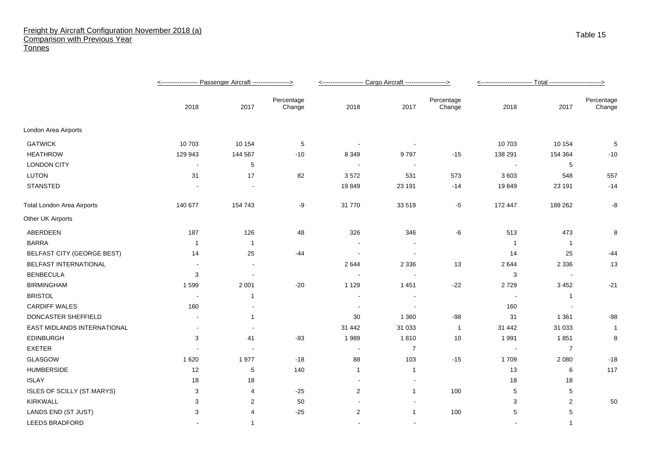## Freight by Aircraft Configuration November 2018 (a) Comparison with Previous Year **Tonnes**

|                                   |                |                          |                      | <------------------- Cargo Aircraft -------------------> |                          |                      | <-------------------------- Total ----- <u>--------------------&gt;</u> |                 |                      |
|-----------------------------------|----------------|--------------------------|----------------------|----------------------------------------------------------|--------------------------|----------------------|-------------------------------------------------------------------------|-----------------|----------------------|
|                                   | 2018           | 2017                     | Percentage<br>Change | 2018                                                     | 2017                     | Percentage<br>Change | 2018                                                                    | 2017            | Percentage<br>Change |
| London Area Airports              |                |                          |                      |                                                          |                          |                      |                                                                         |                 |                      |
| <b>GATWICK</b>                    | 10 703         | 10 154                   | 5                    |                                                          | $\overline{\phantom{a}}$ |                      | 10 703                                                                  | 10 154          | 5                    |
| <b>HEATHROW</b>                   | 129 943        | 144 567                  | $-10$                | 8 3 4 9                                                  | 9797                     | $-15$                | 138 291                                                                 | 154 364         | $-10$                |
| <b>LONDON CITY</b>                | $\blacksquare$ | 5                        |                      | $\sim$                                                   | $\sim$                   |                      |                                                                         | $5\phantom{.0}$ |                      |
| <b>LUTON</b>                      | 31             | 17                       | 82                   | 3572                                                     | 531                      | 573                  | 3603                                                                    | 548             | 557                  |
| <b>STANSTED</b>                   |                |                          |                      | 19849                                                    | 23 191                   | $-14$                | 19849                                                                   | 23 191          | $-14$                |
| <b>Total London Area Airports</b> | 140 677        | 154 743                  | -9                   | 31 770                                                   | 33 519                   | $-5$                 | 172 447                                                                 | 188 262         | -8                   |
| Other UK Airports                 |                |                          |                      |                                                          |                          |                      |                                                                         |                 |                      |
| ABERDEEN                          | 187            | 126                      | 48                   | 326                                                      | 346                      | -6                   | 513                                                                     | 473             | 8                    |
| <b>BARRA</b>                      | -1             | $\overline{1}$           |                      |                                                          |                          |                      | - 1                                                                     | $\overline{1}$  |                      |
| <b>BELFAST CITY (GEORGE BEST)</b> | 14             | 25                       | $-44$                | $\overline{\phantom{a}}$                                 | $\overline{\phantom{a}}$ |                      | 14                                                                      | 25              | -44                  |
| <b>BELFAST INTERNATIONAL</b>      |                | $\overline{a}$           |                      | 2644                                                     | 2 3 3 6                  | 13                   | 2644                                                                    | 2 3 3 6         | 13                   |
| <b>BENBECULA</b>                  | 3              | $\overline{\phantom{a}}$ |                      |                                                          |                          |                      | 3                                                                       |                 |                      |
| <b>BIRMINGHAM</b>                 | 1599           | 2 0 0 1                  | $-20$                | 1 1 2 9                                                  | 1 4 5 1                  | $-22$                | 2729                                                                    | 3 4 5 2         | $-21$                |
| <b>BRISTOL</b>                    |                | -1                       |                      | $\overline{\phantom{a}}$                                 | $\overline{\phantom{a}}$ |                      |                                                                         | $\overline{1}$  |                      |
| <b>CARDIFF WALES</b>              | 160            |                          |                      |                                                          |                          |                      | 160                                                                     |                 |                      |
| DONCASTER SHEFFIELD               |                | -1                       |                      | 30                                                       | 1 3 6 0                  | $-98$                | 31                                                                      | 1 3 6 1         | $-98$                |
| EAST MIDLANDS INTERNATIONAL       | $\blacksquare$ |                          |                      | 31 442                                                   | 31 033                   | $\overline{1}$       | 31 442                                                                  | 31 033          | $\mathbf{1}$         |
| <b>EDINBURGH</b>                  | 3              | 41                       | $-93$                | 1989                                                     | 1810                     | 10                   | 1991                                                                    | 1851            | 8                    |
| <b>EXETER</b>                     |                |                          |                      | $\overline{\phantom{a}}$                                 | $\overline{7}$           |                      |                                                                         | $\overline{7}$  |                      |
| GLASGOW                           | 1620           | 1977                     | $-18$                | 88                                                       | 103                      | $-15$                | 1709                                                                    | 2 0 8 0         | $-18$                |
| <b>HUMBERSIDE</b>                 | 12             | 5                        | 140                  | $\mathbf{1}$                                             | $\mathbf{1}$             |                      | 13                                                                      | 6               | 117                  |
| <b>ISLAY</b>                      | 18             | 18                       |                      |                                                          |                          |                      | 18                                                                      | 18              |                      |
| <b>ISLES OF SCILLY (ST.MARYS)</b> | 3              | 4                        | $-25$                | $\overline{c}$                                           | $\mathbf{1}$             | 100                  | 5                                                                       | 5               |                      |
| <b>KIRKWALL</b>                   | 3              | 2                        | 50                   |                                                          | $\overline{\phantom{a}}$ |                      | 3                                                                       | 2               | 50                   |
| LANDS END (ST JUST)               | 3              | 4                        | $-25$                | $\overline{2}$                                           | $\mathbf{1}$             | 100                  | 5                                                                       | 5               |                      |
| LEEDS BRADFORD                    |                | $\mathbf{1}$             |                      |                                                          |                          |                      |                                                                         | $\overline{1}$  |                      |